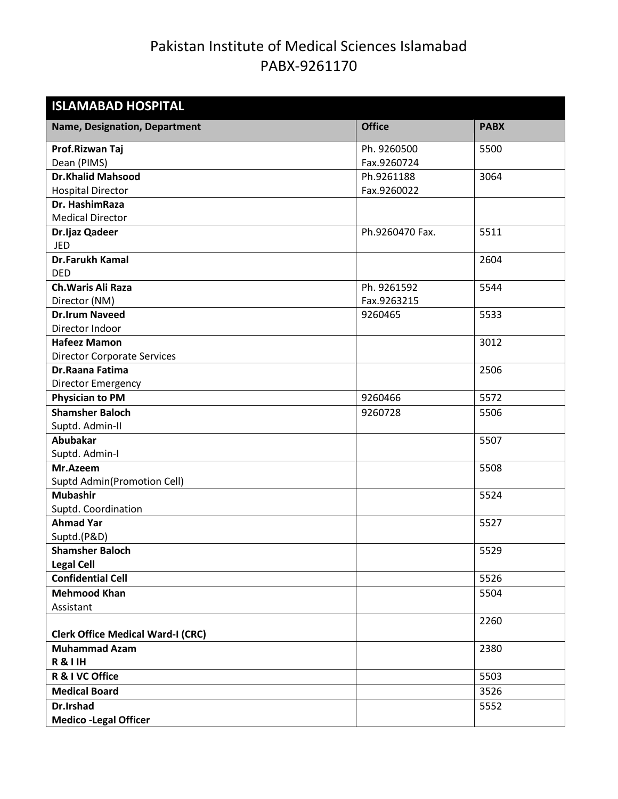| <b>ISLAMABAD HOSPITAL</b>                |                 |             |
|------------------------------------------|-----------------|-------------|
| <b>Name, Designation, Department</b>     | <b>Office</b>   | <b>PABX</b> |
| Prof.Rizwan Taj                          | Ph. 9260500     | 5500        |
| Dean (PIMS)                              | Fax.9260724     |             |
| <b>Dr.Khalid Mahsood</b>                 | Ph.9261188      | 3064        |
| <b>Hospital Director</b>                 | Fax.9260022     |             |
| Dr. HashimRaza                           |                 |             |
| <b>Medical Director</b>                  |                 |             |
| Dr.Ijaz Qadeer                           | Ph.9260470 Fax. | 5511        |
| <b>JED</b>                               |                 |             |
| <b>Dr.Farukh Kamal</b>                   |                 | 2604        |
| <b>DED</b>                               |                 |             |
| Ch. Waris Ali Raza                       | Ph. 9261592     | 5544        |
| Director (NM)                            | Fax.9263215     |             |
| <b>Dr.Irum Naveed</b>                    | 9260465         | 5533        |
| Director Indoor                          |                 |             |
| <b>Hafeez Mamon</b>                      |                 | 3012        |
| <b>Director Corporate Services</b>       |                 |             |
| Dr.Raana Fatima                          |                 | 2506        |
| Director Emergency                       |                 |             |
| <b>Physician to PM</b>                   | 9260466         | 5572        |
| <b>Shamsher Baloch</b>                   | 9260728         | 5506        |
| Suptd. Admin-II                          |                 |             |
| <b>Abubakar</b>                          |                 | 5507        |
| Suptd. Admin-I                           |                 |             |
| Mr.Azeem                                 |                 | 5508        |
| <b>Suptd Admin(Promotion Cell)</b>       |                 |             |
| <b>Mubashir</b>                          |                 | 5524        |
| Suptd. Coordination                      |                 |             |
| <b>Ahmad Yar</b>                         |                 | 5527        |
| Suptd.(P&D)                              |                 |             |
| <b>Shamsher Baloch</b>                   |                 | 5529        |
| <b>Legal Cell</b>                        |                 |             |
| <b>Confidential Cell</b>                 |                 | 5526        |
| <b>Mehmood Khan</b>                      |                 | 5504        |
| Assistant                                |                 |             |
|                                          |                 | 2260        |
| <b>Clerk Office Medical Ward-I (CRC)</b> |                 |             |
| <b>Muhammad Azam</b>                     |                 | 2380        |
| <b>R&amp;IIH</b>                         |                 |             |
| R & I VC Office                          |                 | 5503        |
| <b>Medical Board</b>                     |                 | 3526        |
| Dr.Irshad                                |                 | 5552        |
| <b>Medico -Legal Officer</b>             |                 |             |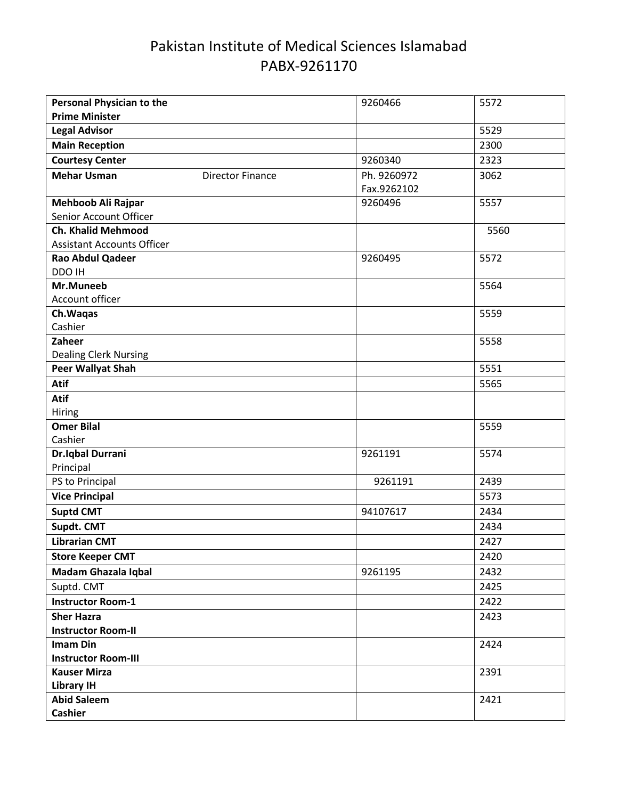| <b>Personal Physician to the</b>                         |                         | 9260466     | 5572 |
|----------------------------------------------------------|-------------------------|-------------|------|
| <b>Prime Minister</b>                                    |                         |             |      |
| <b>Legal Advisor</b>                                     |                         |             | 5529 |
| <b>Main Reception</b>                                    |                         |             | 2300 |
| <b>Courtesy Center</b>                                   |                         | 9260340     | 2323 |
| <b>Mehar Usman</b>                                       | <b>Director Finance</b> | Ph. 9260972 | 3062 |
|                                                          |                         | Fax.9262102 |      |
| Mehboob Ali Rajpar                                       |                         | 9260496     | 5557 |
| Senior Account Officer                                   |                         |             |      |
| <b>Ch. Khalid Mehmood</b>                                |                         |             | 5560 |
| <b>Assistant Accounts Officer</b>                        |                         |             |      |
| Rao Abdul Qadeer                                         |                         | 9260495     | 5572 |
| DDO IH                                                   |                         |             |      |
| Mr.Muneeb                                                |                         |             | 5564 |
| Account officer                                          |                         |             |      |
| Ch. Waqas                                                |                         |             | 5559 |
| Cashier                                                  |                         |             |      |
| Zaheer                                                   |                         |             | 5558 |
| <b>Dealing Clerk Nursing</b><br><b>Peer Wallyat Shah</b> |                         |             | 5551 |
|                                                          |                         |             |      |
| <b>Atif</b>                                              |                         |             | 5565 |
| Atif                                                     |                         |             |      |
| Hiring<br><b>Omer Bilal</b>                              |                         |             |      |
| Cashier                                                  |                         |             | 5559 |
| <b>Dr.Iqbal Durrani</b>                                  |                         | 9261191     | 5574 |
| Principal                                                |                         |             |      |
| PS to Principal                                          |                         | 9261191     | 2439 |
| <b>Vice Principal</b>                                    |                         |             | 5573 |
| <b>Suptd CMT</b>                                         |                         | 94107617    | 2434 |
| Supdt. CMT                                               |                         |             | 2434 |
| <b>Librarian CMT</b>                                     |                         |             | 2427 |
|                                                          |                         |             |      |
| <b>Store Keeper CMT</b>                                  |                         |             | 2420 |
| Madam Ghazala Iqbal                                      |                         | 9261195     | 2432 |
| Suptd. CMT                                               |                         |             | 2425 |
| <b>Instructor Room-1</b>                                 |                         |             | 2422 |
| <b>Sher Hazra</b>                                        |                         |             | 2423 |
| <b>Instructor Room-II</b>                                |                         |             |      |
| <b>Imam Din</b>                                          |                         |             | 2424 |
| <b>Instructor Room-III</b>                               |                         |             |      |
| <b>Kauser Mirza</b>                                      |                         |             | 2391 |
| <b>Library IH</b>                                        |                         |             |      |
| <b>Abid Saleem</b>                                       |                         |             | 2421 |
| <b>Cashier</b>                                           |                         |             |      |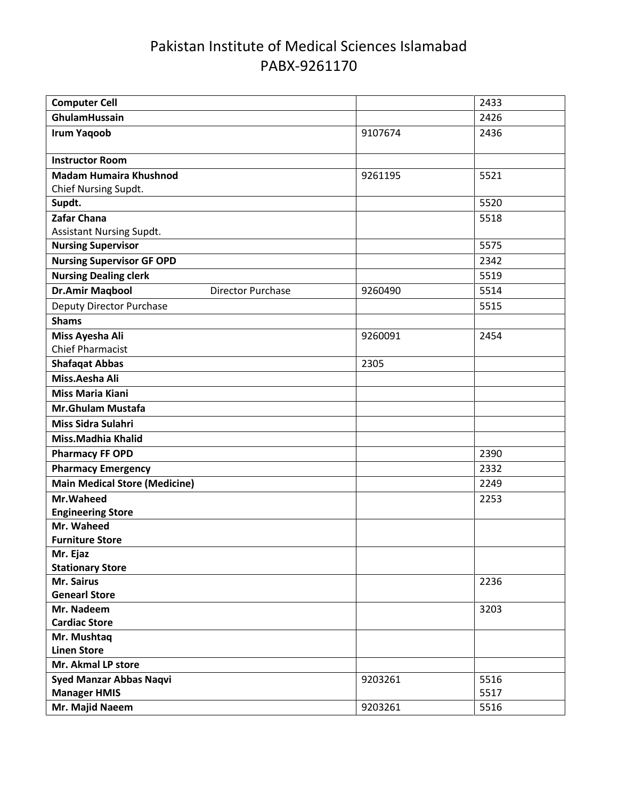| <b>Computer Cell</b>                 |                          |         | 2433 |
|--------------------------------------|--------------------------|---------|------|
| GhulamHussain                        |                          |         | 2426 |
| <b>Irum Yaqoob</b>                   |                          | 9107674 | 2436 |
| <b>Instructor Room</b>               |                          |         |      |
| <b>Madam Humaira Khushnod</b>        |                          | 9261195 | 5521 |
| Chief Nursing Supdt.                 |                          |         |      |
| Supdt.                               |                          |         | 5520 |
| Zafar Chana                          |                          |         | 5518 |
| <b>Assistant Nursing Supdt.</b>      |                          |         |      |
| <b>Nursing Supervisor</b>            |                          |         | 5575 |
| <b>Nursing Supervisor GF OPD</b>     |                          |         | 2342 |
| <b>Nursing Dealing clerk</b>         |                          |         | 5519 |
| <b>Dr.Amir Maqbool</b>               | <b>Director Purchase</b> | 9260490 | 5514 |
| <b>Deputy Director Purchase</b>      |                          |         | 5515 |
| <b>Shams</b>                         |                          |         |      |
| Miss Ayesha Ali                      |                          | 9260091 | 2454 |
| <b>Chief Pharmacist</b>              |                          |         |      |
| <b>Shafaqat Abbas</b>                |                          | 2305    |      |
| Miss.Aesha Ali                       |                          |         |      |
| <b>Miss Maria Kiani</b>              |                          |         |      |
| <b>Mr.Ghulam Mustafa</b>             |                          |         |      |
| Miss Sidra Sulahri                   |                          |         |      |
| Miss.Madhia Khalid                   |                          |         |      |
| <b>Pharmacy FF OPD</b>               |                          |         | 2390 |
| <b>Pharmacy Emergency</b>            |                          |         | 2332 |
| <b>Main Medical Store (Medicine)</b> |                          |         | 2249 |
| Mr.Waheed                            |                          |         | 2253 |
| <b>Engineering Store</b>             |                          |         |      |
| Mr. Waheed                           |                          |         |      |
| <b>Furniture Store</b>               |                          |         |      |
| Mr. Ejaz                             |                          |         |      |
| <b>Stationary Store</b>              |                          |         |      |
| Mr. Sairus                           |                          |         | 2236 |
| <b>Genearl Store</b>                 |                          |         |      |
| Mr. Nadeem                           |                          |         | 3203 |
| <b>Cardiac Store</b>                 |                          |         |      |
| Mr. Mushtaq                          |                          |         |      |
| <b>Linen Store</b>                   |                          |         |      |
| Mr. Akmal LP store                   |                          |         |      |
| <b>Syed Manzar Abbas Naqvi</b>       |                          | 9203261 | 5516 |
| <b>Manager HMIS</b>                  |                          |         | 5517 |
| Mr. Majid Naeem                      |                          | 9203261 | 5516 |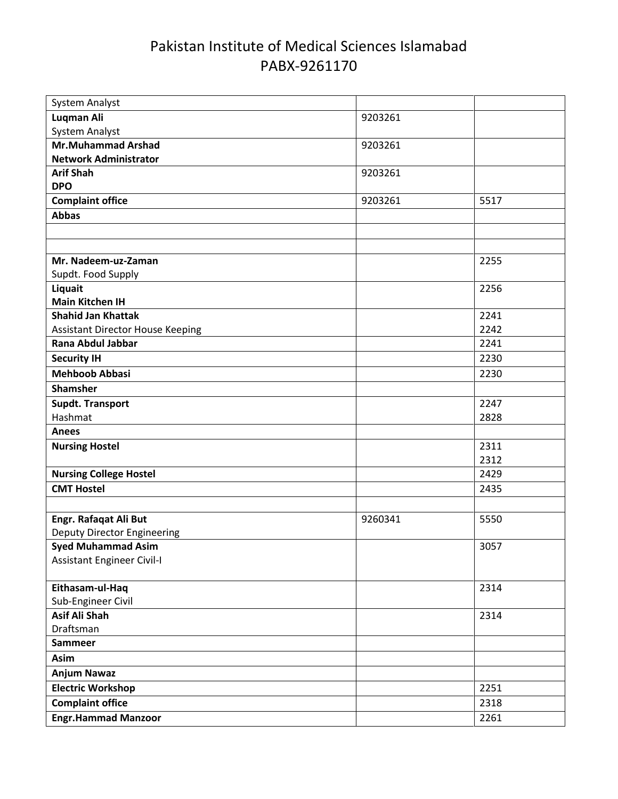| System Analyst                          |         |      |
|-----------------------------------------|---------|------|
| <b>Luqman Ali</b>                       | 9203261 |      |
| <b>System Analyst</b>                   |         |      |
| <b>Mr.Muhammad Arshad</b>               | 9203261 |      |
| <b>Network Administrator</b>            |         |      |
| <b>Arif Shah</b>                        | 9203261 |      |
| <b>DPO</b>                              |         |      |
| <b>Complaint office</b>                 | 9203261 | 5517 |
| <b>Abbas</b>                            |         |      |
|                                         |         |      |
|                                         |         |      |
| Mr. Nadeem-uz-Zaman                     |         | 2255 |
| Supdt. Food Supply                      |         |      |
| Liquait                                 |         | 2256 |
| <b>Main Kitchen IH</b>                  |         |      |
| <b>Shahid Jan Khattak</b>               |         | 2241 |
| <b>Assistant Director House Keeping</b> |         | 2242 |
| Rana Abdul Jabbar                       |         | 2241 |
| <b>Security IH</b>                      |         | 2230 |
| <b>Mehboob Abbasi</b>                   |         | 2230 |
| <b>Shamsher</b>                         |         |      |
| <b>Supdt. Transport</b>                 |         | 2247 |
| Hashmat                                 |         | 2828 |
| <b>Anees</b>                            |         |      |
| <b>Nursing Hostel</b>                   |         | 2311 |
|                                         |         | 2312 |
| <b>Nursing College Hostel</b>           |         | 2429 |
| <b>CMT Hostel</b>                       |         | 2435 |
|                                         |         |      |
| Engr. Rafaqat Ali But                   | 9260341 | 5550 |
| <b>Deputy Director Engineering</b>      |         |      |
| <b>Syed Muhammad Asim</b>               |         | 3057 |
| Assistant Engineer Civil-I              |         |      |
|                                         |         |      |
| Eithasam-ul-Haq                         |         | 2314 |
| Sub-Engineer Civil                      |         |      |
| <b>Asif Ali Shah</b>                    |         | 2314 |
| Draftsman                               |         |      |
| <b>Sammeer</b>                          |         |      |
| Asim                                    |         |      |
| <b>Anjum Nawaz</b>                      |         |      |
| <b>Electric Workshop</b>                |         | 2251 |
| <b>Complaint office</b>                 |         | 2318 |
| <b>Engr.Hammad Manzoor</b>              |         | 2261 |
|                                         |         |      |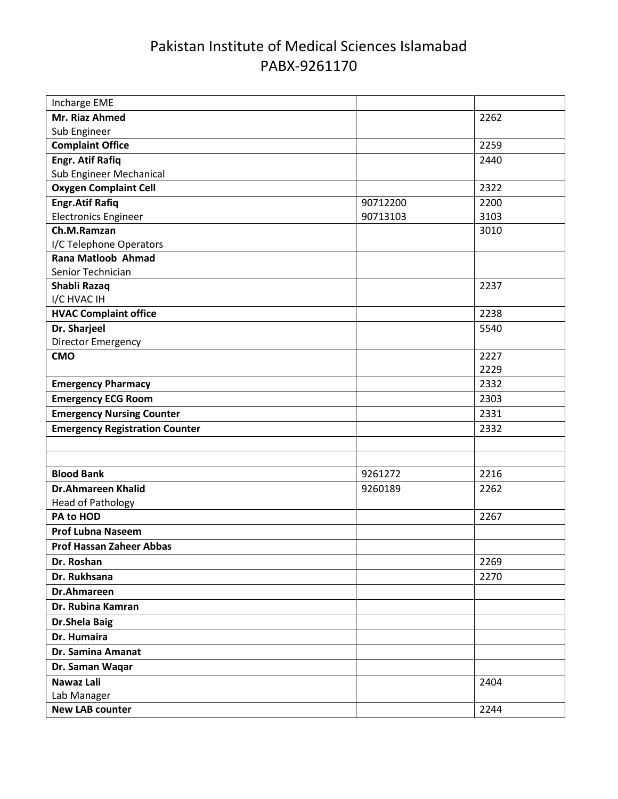| Incharge EME                          |          |      |
|---------------------------------------|----------|------|
| Mr. Riaz Ahmed                        |          | 2262 |
| Sub Engineer                          |          |      |
| <b>Complaint Office</b>               |          | 2259 |
| <b>Engr. Atif Rafiq</b>               |          | 2440 |
| Sub Engineer Mechanical               |          |      |
| <b>Oxygen Complaint Cell</b>          |          | 2322 |
| <b>Engr.Atif Rafiq</b>                | 90712200 | 2200 |
| <b>Electronics Engineer</b>           | 90713103 | 3103 |
| Ch.M.Ramzan                           |          | 3010 |
| I/C Telephone Operators               |          |      |
| Rana Matloob Ahmad                    |          |      |
| Senior Technician                     |          |      |
| Shabli Razaq<br>I/C HVAC IH           |          | 2237 |
| <b>HVAC Complaint office</b>          |          | 2238 |
| Dr. Sharjeel                          |          | 5540 |
| Director Emergency                    |          |      |
| <b>CMO</b>                            |          | 2227 |
|                                       |          | 2229 |
| <b>Emergency Pharmacy</b>             |          | 2332 |
| <b>Emergency ECG Room</b>             |          | 2303 |
| <b>Emergency Nursing Counter</b>      |          | 2331 |
| <b>Emergency Registration Counter</b> |          | 2332 |
|                                       |          |      |
|                                       |          |      |
| <b>Blood Bank</b>                     | 9261272  | 2216 |
| <b>Dr.Ahmareen Khalid</b>             | 9260189  | 2262 |
| <b>Head of Pathology</b>              |          |      |
| PA to HOD                             |          | 2267 |
| <b>Prof Lubna Naseem</b>              |          |      |
| <b>Prof Hassan Zaheer Abbas</b>       |          |      |
| Dr. Roshan                            |          | 2269 |
| Dr. Rukhsana                          |          | 2270 |
| <b>Dr.Ahmareen</b>                    |          |      |
| Dr. Rubina Kamran                     |          |      |
| <b>Dr.Shela Baig</b>                  |          |      |
| Dr. Humaira                           |          |      |
| Dr. Samina Amanat                     |          |      |
| Dr. Saman Waqar                       |          |      |
| Nawaz Lali                            |          | 2404 |
| Lab Manager                           |          |      |
| <b>New LAB counter</b>                |          | 2244 |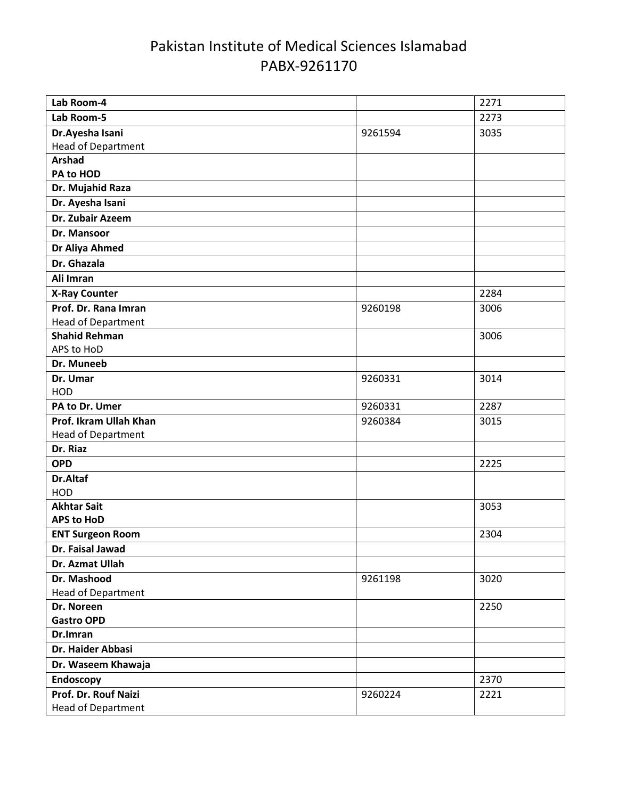| Lab Room-4                      |         | 2271 |
|---------------------------------|---------|------|
| Lab Room-5                      |         | 2273 |
| Dr.Ayesha Isani                 | 9261594 | 3035 |
| Head of Department              |         |      |
| <b>Arshad</b>                   |         |      |
| PA to HOD                       |         |      |
| Dr. Mujahid Raza                |         |      |
| Dr. Ayesha Isani                |         |      |
| Dr. Zubair Azeem                |         |      |
| Dr. Mansoor                     |         |      |
| Dr Aliya Ahmed                  |         |      |
| Dr. Ghazala                     |         |      |
| Ali Imran                       |         |      |
| <b>X-Ray Counter</b>            |         | 2284 |
| Prof. Dr. Rana Imran            | 9260198 | 3006 |
| <b>Head of Department</b>       |         |      |
| <b>Shahid Rehman</b>            |         | 3006 |
| APS to HoD                      |         |      |
| Dr. Muneeb                      |         |      |
| Dr. Umar                        | 9260331 | 3014 |
| HOD                             |         |      |
| PA to Dr. Umer                  | 9260331 | 2287 |
| Prof. Ikram Ullah Khan          | 9260384 | 3015 |
| <b>Head of Department</b>       |         |      |
| Dr. Riaz                        |         |      |
| <b>OPD</b>                      |         | 2225 |
| Dr.Altaf                        |         |      |
| HOD                             |         |      |
| <b>Akhtar Sait</b>              |         | 3053 |
| <b>APS to HoD</b>               |         |      |
| <b>ENT Surgeon Room</b>         |         | 2304 |
| Dr. Faisal Jawad                |         |      |
| Dr. Azmat Ullah                 |         |      |
| Dr. Mashood                     | 9261198 | 3020 |
| <b>Head of Department</b>       |         |      |
| Dr. Noreen<br><b>Gastro OPD</b> |         | 2250 |
| Dr.Imran                        |         |      |
| Dr. Haider Abbasi               |         |      |
|                                 |         |      |
| Dr. Waseem Khawaja              |         |      |
| Endoscopy                       |         | 2370 |
| Prof. Dr. Rouf Naizi            | 9260224 | 2221 |
| <b>Head of Department</b>       |         |      |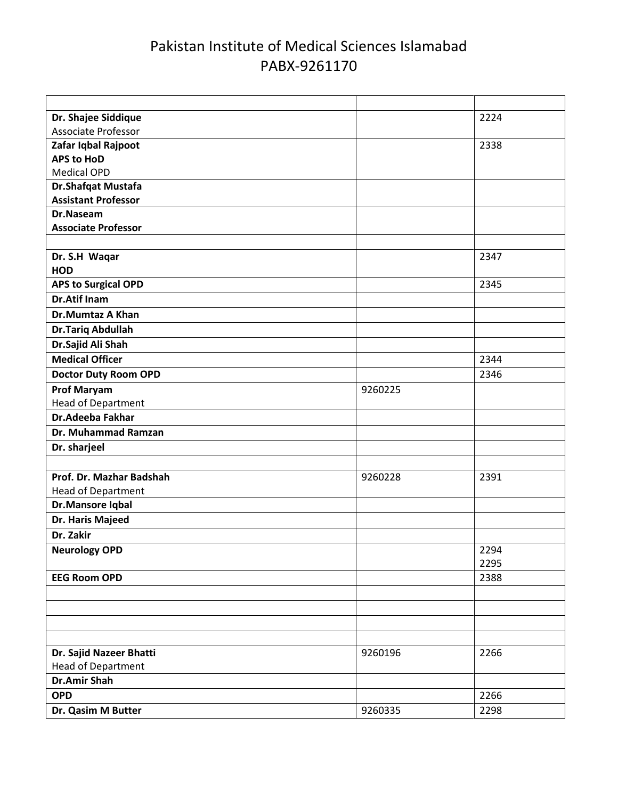| Dr. Shajee Siddique         |         | 2224 |
|-----------------------------|---------|------|
| <b>Associate Professor</b>  |         |      |
| Zafar Iqbal Rajpoot         |         | 2338 |
| <b>APS to HoD</b>           |         |      |
| <b>Medical OPD</b>          |         |      |
| Dr.Shafqat Mustafa          |         |      |
| <b>Assistant Professor</b>  |         |      |
| Dr.Naseam                   |         |      |
| <b>Associate Professor</b>  |         |      |
|                             |         |      |
| Dr. S.H Waqar               |         | 2347 |
| <b>HOD</b>                  |         |      |
| <b>APS to Surgical OPD</b>  |         | 2345 |
| <b>Dr.Atif Inam</b>         |         |      |
| <b>Dr.Mumtaz A Khan</b>     |         |      |
| <b>Dr.Tariq Abdullah</b>    |         |      |
| Dr.Sajid Ali Shah           |         |      |
| <b>Medical Officer</b>      |         | 2344 |
| <b>Doctor Duty Room OPD</b> |         | 2346 |
| <b>Prof Maryam</b>          | 9260225 |      |
| <b>Head of Department</b>   |         |      |
| Dr.Adeeba Fakhar            |         |      |
| Dr. Muhammad Ramzan         |         |      |
| Dr. sharjeel                |         |      |
|                             |         |      |
| Prof. Dr. Mazhar Badshah    | 9260228 | 2391 |
| Head of Department          |         |      |
| Dr.Mansore Iqbal            |         |      |
| Dr. Haris Majeed            |         |      |
| Dr. Zakir                   |         |      |
| <b>Neurology OPD</b>        |         | 2294 |
|                             |         | 2295 |
| <b>EEG Room OPD</b>         |         | 2388 |
|                             |         |      |
|                             |         |      |
|                             |         |      |
|                             |         |      |
| Dr. Sajid Nazeer Bhatti     | 9260196 | 2266 |
| <b>Head of Department</b>   |         |      |
| <b>Dr.Amir Shah</b>         |         |      |
| <b>OPD</b>                  |         | 2266 |
| Dr. Qasim M Butter          | 9260335 | 2298 |
|                             |         |      |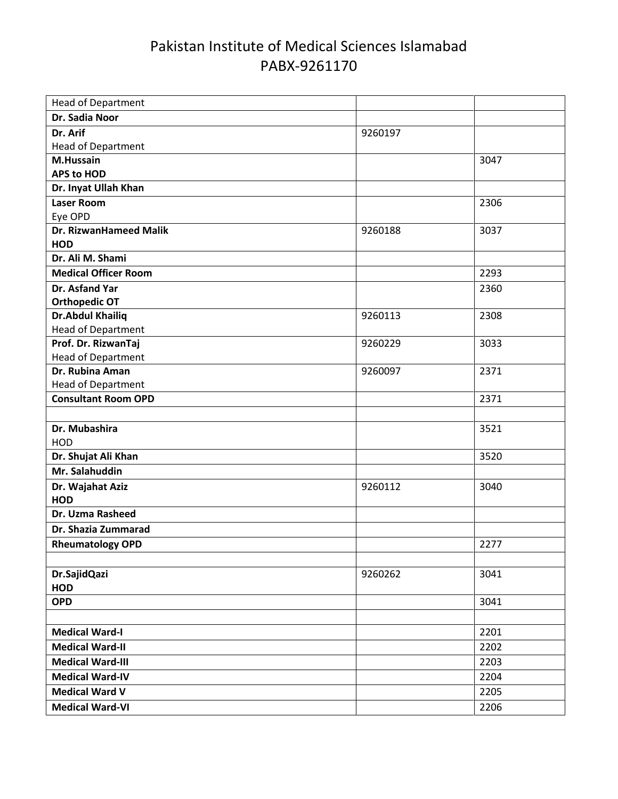| <b>Head of Department</b>                        |         |      |
|--------------------------------------------------|---------|------|
| Dr. Sadia Noor                                   |         |      |
| Dr. Arif                                         | 9260197 |      |
| <b>Head of Department</b>                        |         |      |
| M.Hussain                                        |         | 3047 |
| <b>APS to HOD</b>                                |         |      |
| Dr. Inyat Ullah Khan                             |         |      |
| <b>Laser Room</b>                                |         | 2306 |
| Eye OPD                                          |         |      |
| <b>Dr. RizwanHameed Malik</b>                    | 9260188 | 3037 |
| <b>HOD</b>                                       |         |      |
| Dr. Ali M. Shami                                 |         |      |
| <b>Medical Officer Room</b>                      |         | 2293 |
| Dr. Asfand Yar                                   |         | 2360 |
| <b>Orthopedic OT</b>                             |         |      |
| <b>Dr.Abdul Khailiq</b>                          | 9260113 | 2308 |
| <b>Head of Department</b>                        |         |      |
| Prof. Dr. RizwanTaj                              | 9260229 | 3033 |
| <b>Head of Department</b>                        |         |      |
| Dr. Rubina Aman                                  | 9260097 | 2371 |
| Head of Department<br><b>Consultant Room OPD</b> |         |      |
|                                                  |         | 2371 |
|                                                  |         |      |
| Dr. Mubashira                                    |         | 3521 |
| HOD                                              |         | 3520 |
| Dr. Shujat Ali Khan                              |         |      |
| Mr. Salahuddin                                   |         |      |
| Dr. Wajahat Aziz<br><b>HOD</b>                   | 9260112 | 3040 |
| Dr. Uzma Rasheed                                 |         |      |
|                                                  |         |      |
| Dr. Shazia Zummarad                              |         |      |
| <b>Rheumatology OPD</b>                          |         | 2277 |
|                                                  |         |      |
| Dr.SajidQazi                                     | 9260262 | 3041 |
| <b>HOD</b>                                       |         |      |
| <b>OPD</b>                                       |         | 3041 |
|                                                  |         |      |
| <b>Medical Ward-I</b>                            |         | 2201 |
| <b>Medical Ward-II</b>                           |         | 2202 |
| <b>Medical Ward-III</b>                          |         | 2203 |
| <b>Medical Ward-IV</b>                           |         | 2204 |
| <b>Medical Ward V</b>                            |         | 2205 |
| <b>Medical Ward-VI</b>                           |         | 2206 |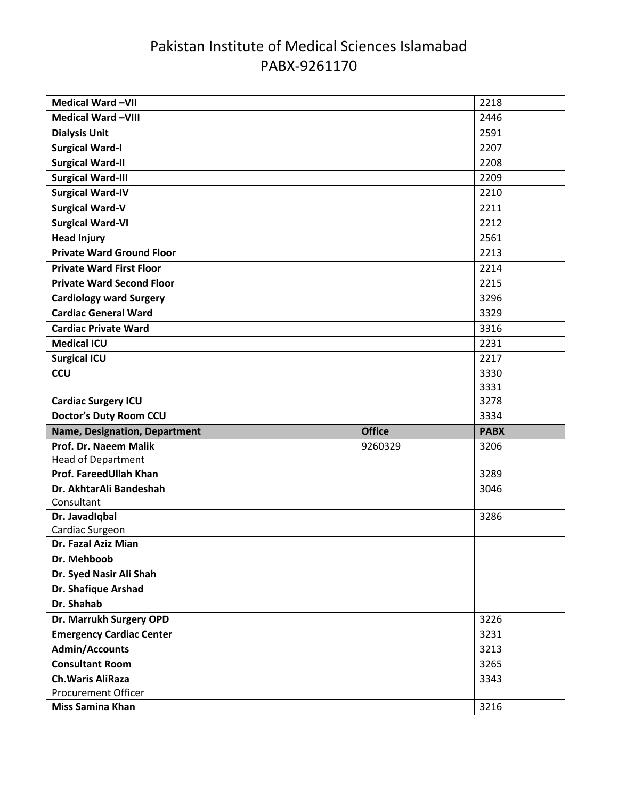| Medical Ward-VII                                       |               | 2218        |
|--------------------------------------------------------|---------------|-------------|
| <b>Medical Ward-VIII</b>                               |               | 2446        |
| <b>Dialysis Unit</b>                                   |               | 2591        |
| <b>Surgical Ward-I</b>                                 |               | 2207        |
| <b>Surgical Ward-II</b>                                |               | 2208        |
| <b>Surgical Ward-III</b>                               |               | 2209        |
| <b>Surgical Ward-IV</b>                                |               | 2210        |
| <b>Surgical Ward-V</b>                                 |               | 2211        |
| <b>Surgical Ward-VI</b>                                |               | 2212        |
| <b>Head Injury</b>                                     |               | 2561        |
| <b>Private Ward Ground Floor</b>                       |               | 2213        |
| <b>Private Ward First Floor</b>                        |               | 2214        |
| <b>Private Ward Second Floor</b>                       |               | 2215        |
| <b>Cardiology ward Surgery</b>                         |               | 3296        |
| <b>Cardiac General Ward</b>                            |               | 3329        |
| <b>Cardiac Private Ward</b>                            |               | 3316        |
| <b>Medical ICU</b>                                     |               | 2231        |
| <b>Surgical ICU</b>                                    |               | 2217        |
| <b>CCU</b>                                             |               | 3330        |
|                                                        |               | 3331        |
| <b>Cardiac Surgery ICU</b>                             |               | 3278        |
| <b>Doctor's Duty Room CCU</b>                          |               | 3334        |
| Name, Designation, Department                          | <b>Office</b> | <b>PABX</b> |
|                                                        |               |             |
| Prof. Dr. Naeem Malik                                  | 9260329       | 3206        |
| <b>Head of Department</b>                              |               |             |
| Prof. FareedUllah Khan                                 |               | 3289        |
| Dr. AkhtarAli Bandeshah                                |               | 3046        |
| Consultant                                             |               |             |
| Dr. Javadiqbal                                         |               | 3286        |
| Cardiac Surgeon                                        |               |             |
| Dr. Fazal Aziz Mian                                    |               |             |
| Dr. Mehboob                                            |               |             |
| Dr. Syed Nasir Ali Shah                                |               |             |
| Dr. Shafique Arshad                                    |               |             |
| Dr. Shahab                                             |               |             |
| Dr. Marrukh Surgery OPD                                |               | 3226        |
| <b>Emergency Cardiac Center</b>                        |               | 3231        |
| <b>Admin/Accounts</b>                                  |               | 3213        |
| <b>Consultant Room</b>                                 |               | 3265        |
| <b>Ch. Waris AliRaza</b><br><b>Procurement Officer</b> |               | 3343        |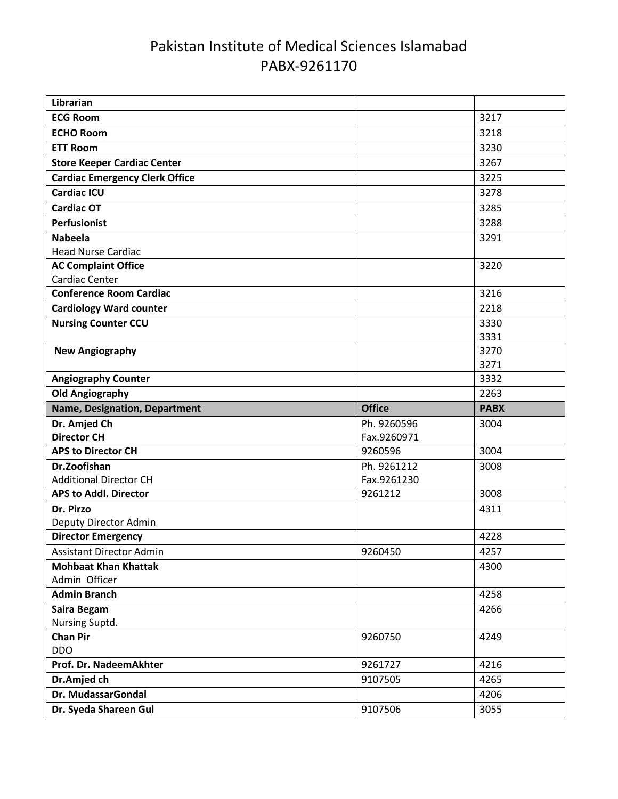| Librarian                                                    |               |              |
|--------------------------------------------------------------|---------------|--------------|
| <b>ECG Room</b>                                              |               | 3217         |
| <b>ECHO Room</b>                                             |               | 3218         |
| <b>ETT Room</b>                                              |               | 3230         |
| <b>Store Keeper Cardiac Center</b>                           |               | 3267         |
| <b>Cardiac Emergency Clerk Office</b>                        |               | 3225         |
| <b>Cardiac ICU</b>                                           |               | 3278         |
| <b>Cardiac OT</b>                                            |               | 3285         |
| <b>Perfusionist</b>                                          |               | 3288         |
| <b>Nabeela</b>                                               |               | 3291         |
| <b>Head Nurse Cardiac</b>                                    |               |              |
| <b>AC Complaint Office</b>                                   |               | 3220         |
| Cardiac Center                                               |               |              |
| <b>Conference Room Cardiac</b>                               |               | 3216         |
| <b>Cardiology Ward counter</b>                               |               | 2218         |
| <b>Nursing Counter CCU</b>                                   |               | 3330         |
|                                                              |               | 3331         |
| <b>New Angiography</b>                                       |               | 3270         |
|                                                              |               | 3271         |
| <b>Angiography Counter</b>                                   |               | 3332         |
| <b>Old Angiography</b>                                       |               | 2263         |
|                                                              |               |              |
| <b>Name, Designation, Department</b>                         | <b>Office</b> | <b>PABX</b>  |
| Dr. Amjed Ch                                                 | Ph. 9260596   | 3004         |
| <b>Director CH</b>                                           | Fax.9260971   |              |
| <b>APS to Director CH</b>                                    | 9260596       | 3004         |
| Dr.Zoofishan                                                 | Ph. 9261212   | 3008         |
| <b>Additional Director CH</b>                                | Fax.9261230   |              |
| <b>APS to Addl. Director</b>                                 | 9261212       | 3008         |
| Dr. Pirzo                                                    |               | 4311         |
| Deputy Director Admin                                        |               | 4228         |
| <b>Director Emergency</b><br><b>Assistant Director Admin</b> | 9260450       | 4257         |
| <b>Mohbaat Khan Khattak</b>                                  |               | 4300         |
| Admin Officer                                                |               |              |
| <b>Admin Branch</b>                                          |               | 4258         |
| Saira Begam                                                  |               | 4266         |
| Nursing Suptd.                                               |               |              |
| <b>Chan Pir</b>                                              | 9260750       | 4249         |
| <b>DDO</b>                                                   |               |              |
| Prof. Dr. NadeemAkhter                                       | 9261727       | 4216         |
| Dr.Amjed ch                                                  | 9107505       | 4265         |
| Dr. MudassarGondal<br>Dr. Syeda Shareen Gul                  | 9107506       | 4206<br>3055 |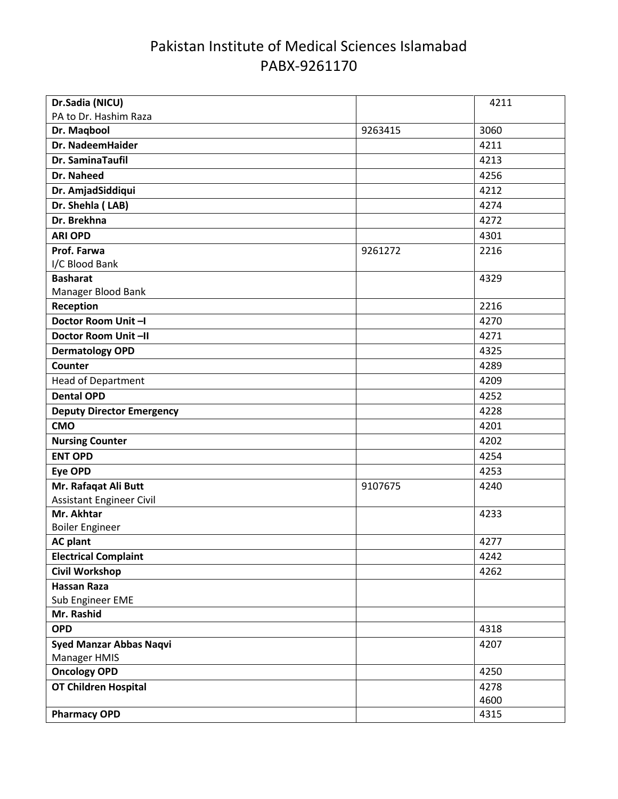| Dr.Sadia (NICU)                  |         | 4211 |
|----------------------------------|---------|------|
| PA to Dr. Hashim Raza            |         |      |
| Dr. Maqbool                      | 9263415 | 3060 |
| Dr. NadeemHaider                 |         | 4211 |
| Dr. SaminaTaufil                 |         | 4213 |
| Dr. Naheed                       |         | 4256 |
| Dr. AmjadSiddiqui                |         | 4212 |
| Dr. Shehla (LAB)                 |         | 4274 |
| Dr. Brekhna                      |         | 4272 |
| <b>ARI OPD</b>                   |         | 4301 |
| Prof. Farwa                      | 9261272 | 2216 |
| I/C Blood Bank                   |         |      |
| <b>Basharat</b>                  |         | 4329 |
| Manager Blood Bank               |         |      |
| Reception                        |         | 2216 |
| Doctor Room Unit-I               |         | 4270 |
| Doctor Room Unit-II              |         | 4271 |
| <b>Dermatology OPD</b>           |         | 4325 |
| Counter                          |         | 4289 |
| <b>Head of Department</b>        |         | 4209 |
| <b>Dental OPD</b>                |         | 4252 |
| <b>Deputy Director Emergency</b> |         | 4228 |
| <b>CMO</b>                       |         | 4201 |
| <b>Nursing Counter</b>           |         | 4202 |
| <b>ENT OPD</b>                   |         | 4254 |
| <b>Eye OPD</b>                   |         | 4253 |
| Mr. Rafaqat Ali Butt             | 9107675 | 4240 |
| <b>Assistant Engineer Civil</b>  |         |      |
| Mr. Akhtar                       |         | 4233 |
| <b>Boiler Engineer</b>           |         |      |
| <b>AC plant</b>                  |         | 4277 |
| <b>Electrical Complaint</b>      |         | 4242 |
| <b>Civil Workshop</b>            |         | 4262 |
| <b>Hassan Raza</b>               |         |      |
| Sub Engineer EME                 |         |      |
| Mr. Rashid                       |         |      |
| <b>OPD</b>                       |         | 4318 |
| <b>Syed Manzar Abbas Naqvi</b>   |         | 4207 |
| Manager HMIS                     |         |      |
| <b>Oncology OPD</b>              |         | 4250 |
| OT Children Hospital             |         | 4278 |
|                                  |         | 4600 |
| <b>Pharmacy OPD</b>              |         | 4315 |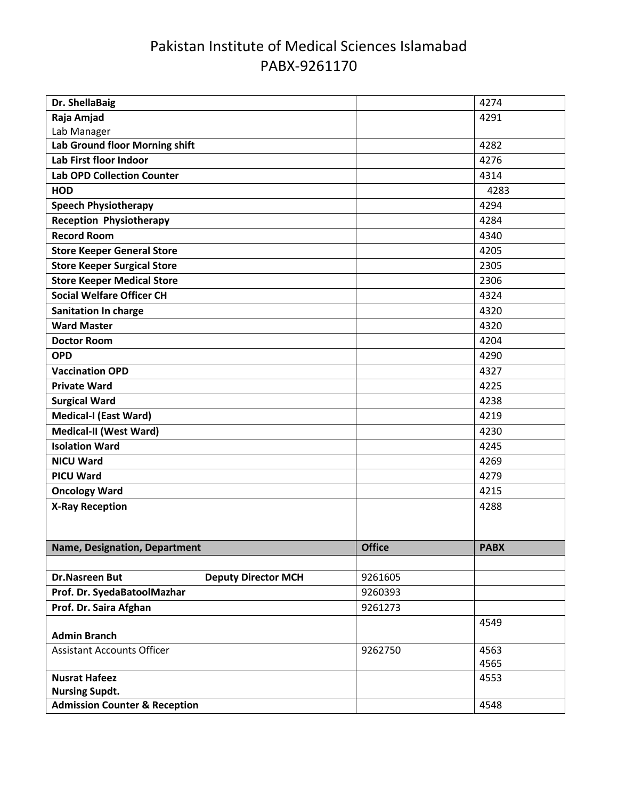| Dr. ShellaBaig                                        |                    | 4274        |
|-------------------------------------------------------|--------------------|-------------|
| Raja Amjad                                            |                    | 4291        |
| Lab Manager                                           |                    |             |
| Lab Ground floor Morning shift                        |                    | 4282        |
| Lab First floor Indoor                                |                    | 4276        |
| <b>Lab OPD Collection Counter</b>                     |                    | 4314        |
| <b>HOD</b>                                            |                    | 4283        |
| <b>Speech Physiotherapy</b>                           |                    | 4294        |
| <b>Reception Physiotherapy</b>                        |                    | 4284        |
| <b>Record Room</b>                                    |                    | 4340        |
| <b>Store Keeper General Store</b>                     |                    | 4205        |
| <b>Store Keeper Surgical Store</b>                    |                    | 2305        |
| <b>Store Keeper Medical Store</b>                     |                    | 2306        |
| <b>Social Welfare Officer CH</b>                      |                    | 4324        |
| <b>Sanitation In charge</b>                           |                    | 4320        |
| <b>Ward Master</b>                                    |                    | 4320        |
| <b>Doctor Room</b>                                    |                    | 4204        |
| <b>OPD</b>                                            |                    | 4290        |
| <b>Vaccination OPD</b>                                |                    | 4327        |
| <b>Private Ward</b>                                   |                    | 4225        |
| <b>Surgical Ward</b>                                  |                    | 4238        |
| <b>Medical-I (East Ward)</b>                          |                    | 4219        |
| <b>Medical-II (West Ward)</b>                         |                    | 4230        |
| <b>Isolation Ward</b>                                 |                    | 4245        |
| <b>NICU Ward</b>                                      |                    | 4269        |
| <b>PICU Ward</b>                                      |                    | 4279        |
| <b>Oncology Ward</b>                                  |                    | 4215        |
| <b>X-Ray Reception</b>                                |                    | 4288        |
|                                                       |                    |             |
|                                                       |                    |             |
| Name, Designation, Department                         | <b>Office</b>      | <b>PABX</b> |
| <b>Deputy Director MCH</b>                            |                    |             |
| <b>Dr.Nasreen But</b>                                 | 9261605            |             |
| Prof. Dr. SyedaBatoolMazhar<br>Prof. Dr. Saira Afghan | 9260393<br>9261273 |             |
|                                                       |                    | 4549        |
| <b>Admin Branch</b>                                   |                    |             |
| <b>Assistant Accounts Officer</b>                     | 9262750            | 4563        |
|                                                       |                    | 4565        |
| <b>Nusrat Hafeez</b>                                  |                    | 4553        |
| <b>Nursing Supdt.</b>                                 |                    |             |
| <b>Admission Counter &amp; Reception</b>              |                    | 4548        |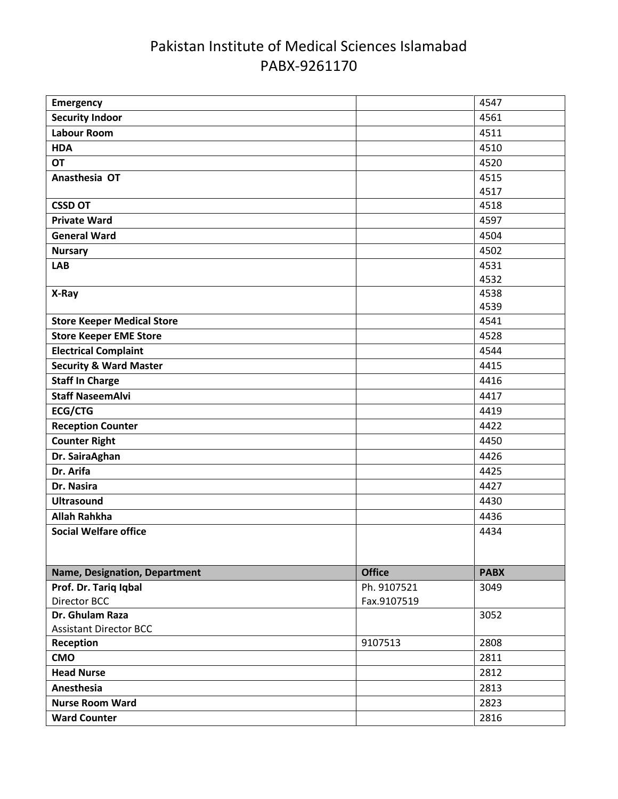| <b>Security Indoor</b><br>4561<br><b>Labour Room</b><br>4511<br><b>HDA</b><br>4510<br><b>OT</b><br>4520<br>Anasthesia OT<br>4515<br>4517<br><b>CSSD OT</b><br>4518<br>4597<br><b>Private Ward</b><br><b>General Ward</b><br>4504<br>4502<br><b>Nursary</b><br>4531<br><b>LAB</b><br>4532<br>4538<br>X-Ray<br>4539<br><b>Store Keeper Medical Store</b><br>4541<br><b>Store Keeper EME Store</b><br>4528<br><b>Electrical Complaint</b><br>4544<br><b>Security &amp; Ward Master</b><br>4415<br><b>Staff In Charge</b><br>4416<br><b>Staff NaseemAlvi</b><br>4417<br><b>ECG/CTG</b><br>4419<br><b>Reception Counter</b><br>4422<br><b>Counter Right</b><br>4450<br>Dr. SairaAghan<br>4426<br>Dr. Arifa<br>4425<br>Dr. Nasira<br>4427<br><b>Ultrasound</b><br>4430<br><b>Allah Rahkha</b><br>4436<br><b>Social Welfare office</b><br>4434<br><b>Office</b><br><b>PABX</b><br>Name, Designation, Department<br>Prof. Dr. Tariq Iqbal<br>Ph. 9107521<br>3049<br>Fax.9107519<br>Director BCC<br>Dr. Ghulam Raza<br>3052<br><b>Assistant Director BCC</b><br>9107513<br>2808<br>Reception<br><b>CMO</b><br>2811<br><b>Head Nurse</b><br>2812<br>Anesthesia<br>2813<br><b>Nurse Room Ward</b><br>2823<br><b>Ward Counter</b><br>2816 | <b>Emergency</b> | 4547 |
|-------------------------------------------------------------------------------------------------------------------------------------------------------------------------------------------------------------------------------------------------------------------------------------------------------------------------------------------------------------------------------------------------------------------------------------------------------------------------------------------------------------------------------------------------------------------------------------------------------------------------------------------------------------------------------------------------------------------------------------------------------------------------------------------------------------------------------------------------------------------------------------------------------------------------------------------------------------------------------------------------------------------------------------------------------------------------------------------------------------------------------------------------------------------------------------------------------------------------------|------------------|------|
|                                                                                                                                                                                                                                                                                                                                                                                                                                                                                                                                                                                                                                                                                                                                                                                                                                                                                                                                                                                                                                                                                                                                                                                                                               |                  |      |
|                                                                                                                                                                                                                                                                                                                                                                                                                                                                                                                                                                                                                                                                                                                                                                                                                                                                                                                                                                                                                                                                                                                                                                                                                               |                  |      |
|                                                                                                                                                                                                                                                                                                                                                                                                                                                                                                                                                                                                                                                                                                                                                                                                                                                                                                                                                                                                                                                                                                                                                                                                                               |                  |      |
|                                                                                                                                                                                                                                                                                                                                                                                                                                                                                                                                                                                                                                                                                                                                                                                                                                                                                                                                                                                                                                                                                                                                                                                                                               |                  |      |
|                                                                                                                                                                                                                                                                                                                                                                                                                                                                                                                                                                                                                                                                                                                                                                                                                                                                                                                                                                                                                                                                                                                                                                                                                               |                  |      |
|                                                                                                                                                                                                                                                                                                                                                                                                                                                                                                                                                                                                                                                                                                                                                                                                                                                                                                                                                                                                                                                                                                                                                                                                                               |                  |      |
|                                                                                                                                                                                                                                                                                                                                                                                                                                                                                                                                                                                                                                                                                                                                                                                                                                                                                                                                                                                                                                                                                                                                                                                                                               |                  |      |
|                                                                                                                                                                                                                                                                                                                                                                                                                                                                                                                                                                                                                                                                                                                                                                                                                                                                                                                                                                                                                                                                                                                                                                                                                               |                  |      |
|                                                                                                                                                                                                                                                                                                                                                                                                                                                                                                                                                                                                                                                                                                                                                                                                                                                                                                                                                                                                                                                                                                                                                                                                                               |                  |      |
|                                                                                                                                                                                                                                                                                                                                                                                                                                                                                                                                                                                                                                                                                                                                                                                                                                                                                                                                                                                                                                                                                                                                                                                                                               |                  |      |
|                                                                                                                                                                                                                                                                                                                                                                                                                                                                                                                                                                                                                                                                                                                                                                                                                                                                                                                                                                                                                                                                                                                                                                                                                               |                  |      |
|                                                                                                                                                                                                                                                                                                                                                                                                                                                                                                                                                                                                                                                                                                                                                                                                                                                                                                                                                                                                                                                                                                                                                                                                                               |                  |      |
|                                                                                                                                                                                                                                                                                                                                                                                                                                                                                                                                                                                                                                                                                                                                                                                                                                                                                                                                                                                                                                                                                                                                                                                                                               |                  |      |
|                                                                                                                                                                                                                                                                                                                                                                                                                                                                                                                                                                                                                                                                                                                                                                                                                                                                                                                                                                                                                                                                                                                                                                                                                               |                  |      |
|                                                                                                                                                                                                                                                                                                                                                                                                                                                                                                                                                                                                                                                                                                                                                                                                                                                                                                                                                                                                                                                                                                                                                                                                                               |                  |      |
|                                                                                                                                                                                                                                                                                                                                                                                                                                                                                                                                                                                                                                                                                                                                                                                                                                                                                                                                                                                                                                                                                                                                                                                                                               |                  |      |
|                                                                                                                                                                                                                                                                                                                                                                                                                                                                                                                                                                                                                                                                                                                                                                                                                                                                                                                                                                                                                                                                                                                                                                                                                               |                  |      |
|                                                                                                                                                                                                                                                                                                                                                                                                                                                                                                                                                                                                                                                                                                                                                                                                                                                                                                                                                                                                                                                                                                                                                                                                                               |                  |      |
|                                                                                                                                                                                                                                                                                                                                                                                                                                                                                                                                                                                                                                                                                                                                                                                                                                                                                                                                                                                                                                                                                                                                                                                                                               |                  |      |
|                                                                                                                                                                                                                                                                                                                                                                                                                                                                                                                                                                                                                                                                                                                                                                                                                                                                                                                                                                                                                                                                                                                                                                                                                               |                  |      |
|                                                                                                                                                                                                                                                                                                                                                                                                                                                                                                                                                                                                                                                                                                                                                                                                                                                                                                                                                                                                                                                                                                                                                                                                                               |                  |      |
|                                                                                                                                                                                                                                                                                                                                                                                                                                                                                                                                                                                                                                                                                                                                                                                                                                                                                                                                                                                                                                                                                                                                                                                                                               |                  |      |
|                                                                                                                                                                                                                                                                                                                                                                                                                                                                                                                                                                                                                                                                                                                                                                                                                                                                                                                                                                                                                                                                                                                                                                                                                               |                  |      |
|                                                                                                                                                                                                                                                                                                                                                                                                                                                                                                                                                                                                                                                                                                                                                                                                                                                                                                                                                                                                                                                                                                                                                                                                                               |                  |      |
|                                                                                                                                                                                                                                                                                                                                                                                                                                                                                                                                                                                                                                                                                                                                                                                                                                                                                                                                                                                                                                                                                                                                                                                                                               |                  |      |
|                                                                                                                                                                                                                                                                                                                                                                                                                                                                                                                                                                                                                                                                                                                                                                                                                                                                                                                                                                                                                                                                                                                                                                                                                               |                  |      |
|                                                                                                                                                                                                                                                                                                                                                                                                                                                                                                                                                                                                                                                                                                                                                                                                                                                                                                                                                                                                                                                                                                                                                                                                                               |                  |      |
|                                                                                                                                                                                                                                                                                                                                                                                                                                                                                                                                                                                                                                                                                                                                                                                                                                                                                                                                                                                                                                                                                                                                                                                                                               |                  |      |
|                                                                                                                                                                                                                                                                                                                                                                                                                                                                                                                                                                                                                                                                                                                                                                                                                                                                                                                                                                                                                                                                                                                                                                                                                               |                  |      |
|                                                                                                                                                                                                                                                                                                                                                                                                                                                                                                                                                                                                                                                                                                                                                                                                                                                                                                                                                                                                                                                                                                                                                                                                                               |                  |      |
|                                                                                                                                                                                                                                                                                                                                                                                                                                                                                                                                                                                                                                                                                                                                                                                                                                                                                                                                                                                                                                                                                                                                                                                                                               |                  |      |
|                                                                                                                                                                                                                                                                                                                                                                                                                                                                                                                                                                                                                                                                                                                                                                                                                                                                                                                                                                                                                                                                                                                                                                                                                               |                  |      |
|                                                                                                                                                                                                                                                                                                                                                                                                                                                                                                                                                                                                                                                                                                                                                                                                                                                                                                                                                                                                                                                                                                                                                                                                                               |                  |      |
|                                                                                                                                                                                                                                                                                                                                                                                                                                                                                                                                                                                                                                                                                                                                                                                                                                                                                                                                                                                                                                                                                                                                                                                                                               |                  |      |
|                                                                                                                                                                                                                                                                                                                                                                                                                                                                                                                                                                                                                                                                                                                                                                                                                                                                                                                                                                                                                                                                                                                                                                                                                               |                  |      |
|                                                                                                                                                                                                                                                                                                                                                                                                                                                                                                                                                                                                                                                                                                                                                                                                                                                                                                                                                                                                                                                                                                                                                                                                                               |                  |      |
|                                                                                                                                                                                                                                                                                                                                                                                                                                                                                                                                                                                                                                                                                                                                                                                                                                                                                                                                                                                                                                                                                                                                                                                                                               |                  |      |
|                                                                                                                                                                                                                                                                                                                                                                                                                                                                                                                                                                                                                                                                                                                                                                                                                                                                                                                                                                                                                                                                                                                                                                                                                               |                  |      |
|                                                                                                                                                                                                                                                                                                                                                                                                                                                                                                                                                                                                                                                                                                                                                                                                                                                                                                                                                                                                                                                                                                                                                                                                                               |                  |      |
|                                                                                                                                                                                                                                                                                                                                                                                                                                                                                                                                                                                                                                                                                                                                                                                                                                                                                                                                                                                                                                                                                                                                                                                                                               |                  |      |
|                                                                                                                                                                                                                                                                                                                                                                                                                                                                                                                                                                                                                                                                                                                                                                                                                                                                                                                                                                                                                                                                                                                                                                                                                               |                  |      |